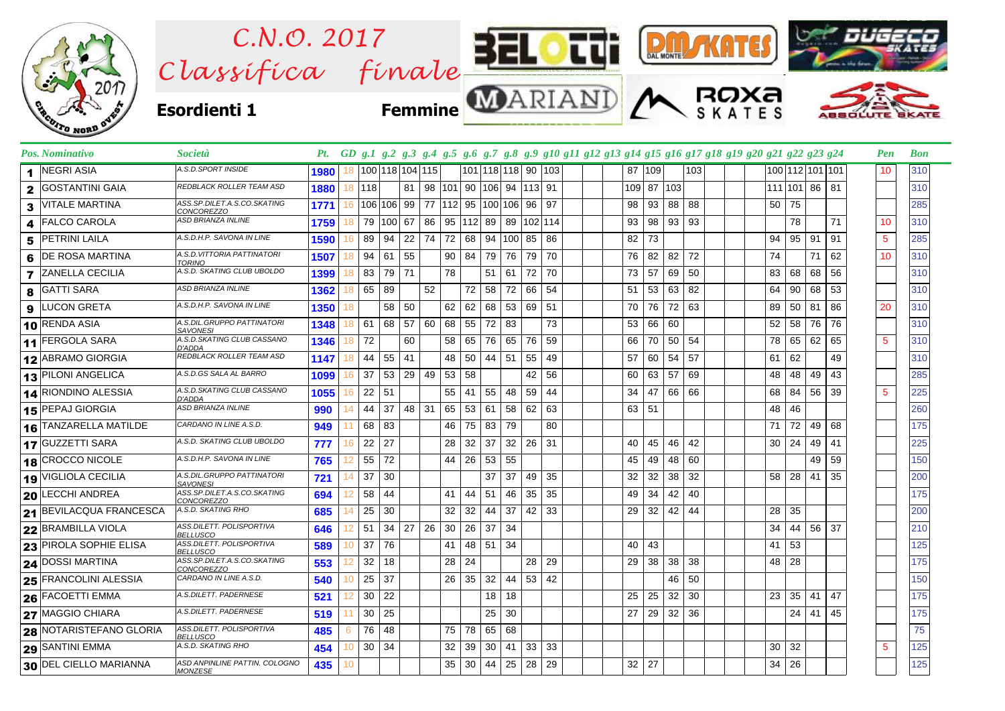

| <b>Pos. Nominativo</b>                 | Società                                          |             |     |                 |           |                                          |                 |       |                                      |                              |    |              | Pt. GD g.1 g.2 g.3 g.4 g.5 g.6 g.7 g.8 g.9 g10 g11 g12 g13 g14 g15 g16 g17 g18 g19 g20 g21 g22 g23 g24 |            |              |          |     |  |                 |                    |    |                 | Pen | <b>Bon</b> |
|----------------------------------------|--------------------------------------------------|-------------|-----|-----------------|-----------|------------------------------------------|-----------------|-------|--------------------------------------|------------------------------|----|--------------|--------------------------------------------------------------------------------------------------------|------------|--------------|----------|-----|--|-----------------|--------------------|----|-----------------|-----|------------|
| <b>NEGRI ASIA</b><br>1                 | A.S.D.SPORT INSIDE                               | 1980        | 18  |                 |           | 100 118 104 115                          |                 |       | 101 118 118 90 103                   |                              |    |              |                                                                                                        |            | 87 109       |          | 103 |  |                 |                    |    | 100 112 101 101 | 10  | 310        |
| <b>GOSTANTINI GAIA</b><br>$\mathbf{2}$ | REDBLACK ROLLER TEAM ASD                         | 1880 18 118 |     |                 |           | 81   98   101   90   106   94   113   91 |                 |       |                                      |                              |    |              |                                                                                                        | 109 87 103 |              |          |     |  |                 | 111 101 86 81      |    |                 |     | 310        |
| <b>VITALE MARTINA</b><br>3             | ASS.SP.DILET.A.S.CO.SKATING<br><b>CONCOREZZO</b> | 1771        | 16  |                 |           | 106 106 99 77 112 95 100 106 96 97       |                 |       |                                      |                              |    |              |                                                                                                        | 98         |              | 93   88  | 88  |  |                 | 50 75              |    |                 |     | 285        |
| <b>FALCO CAROLA</b><br>4               | ASD BRIANZA INLINE                               | 1759        |     |                 | 79 100 67 |                                          |                 |       | 86   95   112   89   89   102   114  |                              |    |              |                                                                                                        | 93         |              | 98 93 93 |     |  |                 | 78                 |    | 71              | 10  | 310        |
| <b>PETRINI LAILA</b><br>5              | A.S.D.H.P. SAVONA IN LINE                        | 1590        |     | 89              | 94        | 22   74   72   68   94  100   85   86    |                 |       |                                      |                              |    |              |                                                                                                        | 82         | 73           |          |     |  | 94              | 95                 | 91 | 91              | -5  | 285        |
| <b>DE ROSA MARTINA</b><br>6            | A.S.D.VITTORIA PATTINATORI<br><b>TORINO</b>      | 1507        |     | 94              | 61        | 55                                       |                 | 90 84 |                                      | 79 76 79 70                  |    |              |                                                                                                        |            | 76 82 82     |          | 72  |  | 74              |                    | 71 | 62              | 10  | 310        |
| <b>7</b> ZANELLA CECILIA               | A.S.D. SKATING CLUB UBOLDO                       | 1399        | 18  | 83              | 79 71     |                                          | 78              |       |                                      | 51 61 72 70                  |    |              |                                                                                                        | 73         |              | 57 69    | 50  |  |                 | 83 68              | 68 | 56              |     | 310        |
| <b>GATTI SARA</b><br>8                 | ASD BRIANZA INLINE                               | 1362        | 18  | 65              | 89        | 52                                       |                 | 72    |                                      | 58 72                        | 66 | 54           |                                                                                                        | 51         | 53 63        |          | 82  |  | 64              | 90                 | 68 | 53              |     | 310        |
| LUCON GRETA<br>9                       | A.S.D.H.P. SAVONA IN LINE                        | 1350        | 18. |                 | 58 50     |                                          | 62              |       | 62 68 53 69 51                       |                              |    |              |                                                                                                        | 70         |              | 76 72 63 |     |  |                 | 89 50              | 81 | 86              | 20  | 310        |
| 10 RENDA ASIA                          | A.S.DIL.GRUPPO PATTINATORI<br><b>SAVONESI</b>    | 1348        | 18  | 61              | 68 57     |                                          | 60 68           | 55    |                                      | 72 83                        |    | 73           |                                                                                                        | 53         | 66 60        |          |     |  |                 | $52 \mid 58$       | 76 | 76              |     | 310        |
| 11 FERGOLA SARA                        | A.S.D.SKATING CLUB CASSANO<br>D'ADDA             | 1346        | 18  | 72              |           | 60                                       | 58              | 65    |                                      | 76 65 76                     |    | 59           |                                                                                                        | 66         | 70 50        |          | 54  |  | 78              | 65                 | 62 | 65              | 5   | 310        |
| 12 ABRAMO GIORGIA                      | REDBLACK ROLLER TEAM ASD                         | 1147        | 18  | 44              | 55 41     |                                          | 48              |       | 50   44   51                         |                              | 55 | 49           |                                                                                                        | 57         |              | 60 54    | 57  |  |                 | $61 \mid 62$       |    | 49              |     | 310        |
| 13 PILONI ANGELICA                     | A.S.D.GS SALA AL BARRO                           | 1099        | 16  | 37              |           | $53 \mid 29 \mid 49 \mid 53$             |                 | 58    |                                      |                              | 42 | 56           |                                                                                                        | 60 l       | 63 57        |          | 69  |  | 48              | 48                 | 49 | 43              |     | 285        |
| 14 RIONDINO ALESSIA                    | A.S.D.SKATING CLUB CASSANO<br>D'ADDA             | 1055        |     | $22 \mid 51$    |           |                                          | 55              | 41    | 55                                   | 48                           | 59 | 44           |                                                                                                        | 34         |              | 47 66 66 |     |  |                 | 68 84              | 56 | 39              | 5   | 225        |
| 15 PEPAJ GIORGIA                       | ASD BRIANZA INLINE                               | 990         |     | 44              | 37        | 48 31 65                                 |                 | 53    | 61                                   | 58                           | 62 | 63           |                                                                                                        | 63 51      |              |          |     |  | 48              | 46                 |    |                 |     | 260        |
| 16 TANZARELLA MATILDE                  | CARDANO IN LINE A.S.D.                           | 949         |     | 68 83           |           |                                          | 46              |       | 75 83 79                             |                              |    | 80           |                                                                                                        |            |              |          |     |  |                 | 71 72              | 49 | 68              |     | 175        |
| 17 GUZZETTI SARA                       | A.S.D. SKATING CLUB UBOLDO                       | 777         | 16  | 22              | 27        |                                          | 28              |       | $32 \mid 37 \mid 32 \mid 26 \mid 31$ |                              |    |              |                                                                                                        | 40         |              | 45 46 42 |     |  |                 | $30 \mid 24$       | 49 | 41              |     | 225        |
| 18 CROCCO NICOLE                       | A.S.D.H.P. SAVONA IN LINE                        | 765         | 12  | 55              | 72        |                                          | 44              |       | 26 53 55                             |                              |    |              |                                                                                                        | 45         |              | 49 48    | 60  |  |                 |                    | 49 | 59              |     | 150        |
| 19 VIGLIOLA CECILIA                    | A.S.DIL.GRUPPO PATTINATORI<br><b>SAVONESI</b>    | 721         | 14  | 37              | 30        |                                          |                 |       | 37                                   | 37                           |    | 49 35        |                                                                                                        | 32         | 32 38        |          | 32  |  |                 | 58 28              | 41 | 35              |     | 200        |
| 20 LECCHI ANDREA                       | ASS.SP.DILET.A.S.CO.SKATING<br>CONCOREZZO        | 694         |     | 58              | 44        |                                          | 41              | 44    |                                      | 51 46                        | 35 | 35           |                                                                                                        | 49         | 34 42        |          | 40  |  |                 |                    |    |                 |     | 175        |
| 21 BEVILACQUA FRANCESCA                | A.S.D. SKATING RHO                               | 685         |     | 25              | 30        |                                          | 32              | 32    |                                      | 44 37 42 33                  |    |              |                                                                                                        |            | 29 32 42 44  |          |     |  | 28 <sup>1</sup> | 35                 |    |                 |     | 200        |
| 22 BRAMBILLA VIOLA                     | ASS.DILETT. POLISPORTIVA<br><i>BELLUSCO</i>      | 646         |     | 51              | 34        | $27$ 26 30                               |                 | 26    |                                      | 37 34                        |    |              |                                                                                                        |            |              |          |     |  |                 | 34   44   56       |    | 37              |     | 210        |
| 23 PIROLA SOPHIE ELISA                 | ASS.DILETT. POLISPORTIVA<br><b>BELLUSCO</b>      | 589         | 10  | 37              | 76        |                                          | 41              |       | 48 51 34                             |                              |    |              |                                                                                                        | 40 I       | 43           |          |     |  |                 | $41 \mid 53$       |    |                 |     | 125        |
| <b>24 DOSSI MARTINA</b>                | ASS.SP.DILET.A.S.CO.SKATING<br>CONCOREZZO        | 553         |     | 32              | 18        |                                          | 28              | 24    |                                      |                              |    | 28 29        |                                                                                                        | 29         | 38 38        |          | 38  |  |                 | 48 28              |    |                 |     | 175        |
| 25 FRANCOLINI ALESSIA                  | CARDANO IN LINE A.S.D.                           | 540         | 10  | 25              | 37        |                                          | 26 <sup>1</sup> | 35    |                                      | $32 \mid 44 \mid$            |    | $53 \mid 42$ |                                                                                                        |            |              | 46       | 50  |  |                 |                    |    |                 |     | 150        |
| 26 FACOETTI EMMA                       | A.S.DILETT. PADERNESE                            | 521         |     | 30              | 22        |                                          |                 |       | 18                                   | 18                           |    |              |                                                                                                        | 25         | $25 \mid 32$ |          | 30  |  | 23              | 35                 | 41 | 47              |     | 175        |
| 27 MAGGIO CHIARA                       | A.S.DILETT. PADERNESE                            | 519         |     | 30              | 25        |                                          |                 |       |                                      | $25 \,   \, 30$              |    |              |                                                                                                        | 27         | 29 32        |          | 36  |  |                 | 24                 | 41 | 45              |     | 175        |
| 28 NOTARISTEFANO GLORIA                | ASS.DILETT. POLISPORTIVA<br>BELLUSCO             | 485         | 6   | 76              | 48        |                                          | 75              |       | 78 65 68                             |                              |    |              |                                                                                                        |            |              |          |     |  |                 |                    |    |                 |     | 75         |
| <b>29 SANTINI EMMA</b>                 | A.S.D. SKATING RHO                               | 454         | 10  | 30 <sup>°</sup> | 34        |                                          | 32              | 39    |                                      | $30 \mid 41 \mid 33 \mid 33$ |    |              |                                                                                                        |            |              |          |     |  |                 | 30 32              |    |                 | -5  | 125        |
| 30 DEL CIELLO MARIANNA                 | ASD ANPINLINE PATTIN. COLOGNO<br><b>MONZESE</b>  | 435         | 10  |                 |           |                                          | 35              |       | 30   44   25   28   29               |                              |    |              |                                                                                                        | $32$ 27    |              |          |     |  |                 | $34 \overline{26}$ |    |                 |     | 125        |